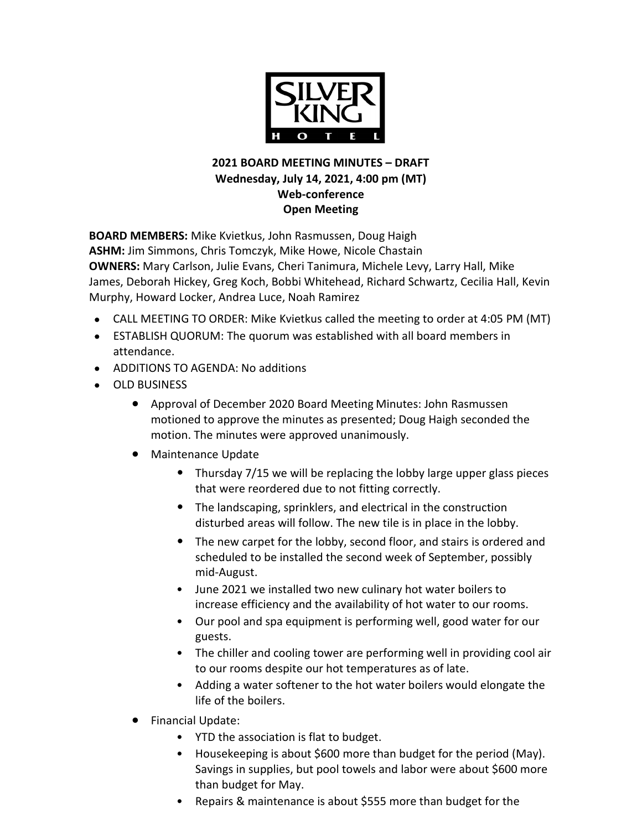

## **2021 BOARD MEETING MINUTES – DRAFT Wednesday, July 14, 2021, 4:00 pm (MT) Web-conference Open Meeting**

**BOARD MEMBERS:** Mike Kvietkus, John Rasmussen, Doug Haigh **ASHM:** Jim Simmons, Chris Tomczyk, Mike Howe, Nicole Chastain **OWNERS:** Mary Carlson, Julie Evans, Cheri Tanimura, Michele Levy, Larry Hall, Mike James, Deborah Hickey, Greg Koch, Bobbi Whitehead, Richard Schwartz, Cecilia Hall, Kevin Murphy, Howard Locker, Andrea Luce, Noah Ramirez

- CALL MEETING TO ORDER: Mike Kvietkus called the meeting to order at 4:05 PM (MT)
- ESTABLISH QUORUM: The quorum was established with all board members in attendance.
- ADDITIONS TO AGENDA: No additions
- OLD BUSINESS
	- Approval of December 2020 Board Meeting Minutes: John Rasmussen motioned to approve the minutes as presented; Doug Haigh seconded the motion. The minutes were approved unanimously.
	- Maintenance Update
		- Thursday 7/15 we will be replacing the lobby large upper glass pieces that were reordered due to not fitting correctly.
		- The landscaping, sprinklers, and electrical in the construction disturbed areas will follow. The new tile is in place in the lobby.
		- The new carpet for the lobby, second floor, and stairs is ordered and scheduled to be installed the second week of September, possibly mid-August.
		- June 2021 we installed two new culinary hot water boilers to increase efficiency and the availability of hot water to our rooms.
		- Our pool and spa equipment is performing well, good water for our guests.
		- The chiller and cooling tower are performing well in providing cool air to our rooms despite our hot temperatures as of late.
		- Adding a water softener to the hot water boilers would elongate the life of the boilers.
	- Financial Update:
		- YTD the association is flat to budget.
		- Housekeeping is about \$600 more than budget for the period (May). Savings in supplies, but pool towels and labor were about \$600 more than budget for May.
		- Repairs & maintenance is about \$555 more than budget for the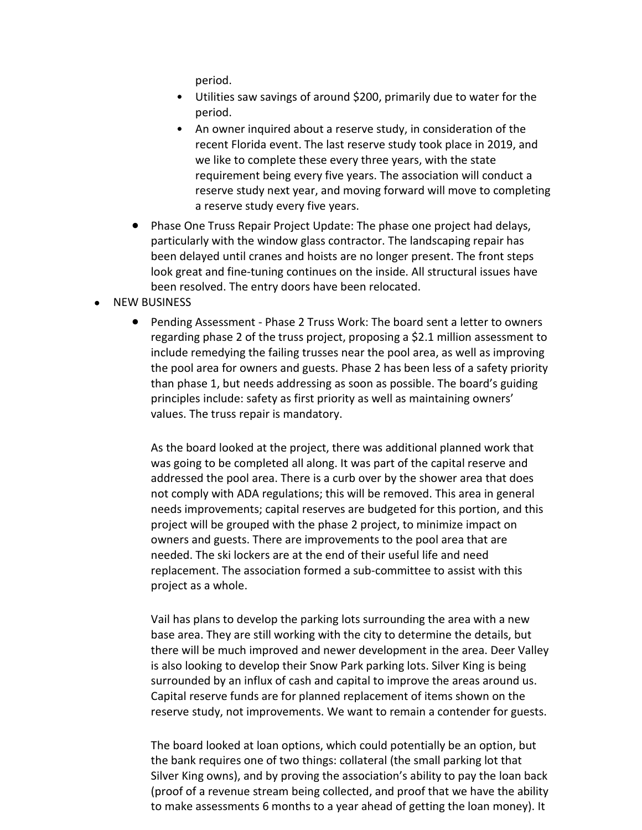period.

- Utilities saw savings of around \$200, primarily due to water for the period.
- An owner inquired about a reserve study, in consideration of the recent Florida event. The last reserve study took place in 2019, and we like to complete these every three years, with the state requirement being every five years. The association will conduct a reserve study next year, and moving forward will move to completing a reserve study every five years.
- Phase One Truss Repair Project Update: The phase one project had delays, particularly with the window glass contractor. The landscaping repair has been delayed until cranes and hoists are no longer present. The front steps look great and fine-tuning continues on the inside. All structural issues have been resolved. The entry doors have been relocated.
- NEW BUSINESS
	- Pending Assessment Phase 2 Truss Work: The board sent a letter to owners regarding phase 2 of the truss project, proposing a \$2.1 million assessment to include remedying the failing trusses near the pool area, as well as improving the pool area for owners and guests. Phase 2 has been less of a safety priority than phase 1, but needs addressing as soon as possible. The board's guiding principles include: safety as first priority as well as maintaining owners' values. The truss repair is mandatory.

As the board looked at the project, there was additional planned work that was going to be completed all along. It was part of the capital reserve and addressed the pool area. There is a curb over by the shower area that does not comply with ADA regulations; this will be removed. This area in general needs improvements; capital reserves are budgeted for this portion, and this project will be grouped with the phase 2 project, to minimize impact on owners and guests. There are improvements to the pool area that are needed. The ski lockers are at the end of their useful life and need replacement. The association formed a sub-committee to assist with this project as a whole.

Vail has plans to develop the parking lots surrounding the area with a new base area. They are still working with the city to determine the details, but there will be much improved and newer development in the area. Deer Valley is also looking to develop their Snow Park parking lots. Silver King is being surrounded by an influx of cash and capital to improve the areas around us. Capital reserve funds are for planned replacement of items shown on the reserve study, not improvements. We want to remain a contender for guests.

The board looked at loan options, which could potentially be an option, but the bank requires one of two things: collateral (the small parking lot that Silver King owns), and by proving the association's ability to pay the loan back (proof of a revenue stream being collected, and proof that we have the ability to make assessments 6 months to a year ahead of getting the loan money). It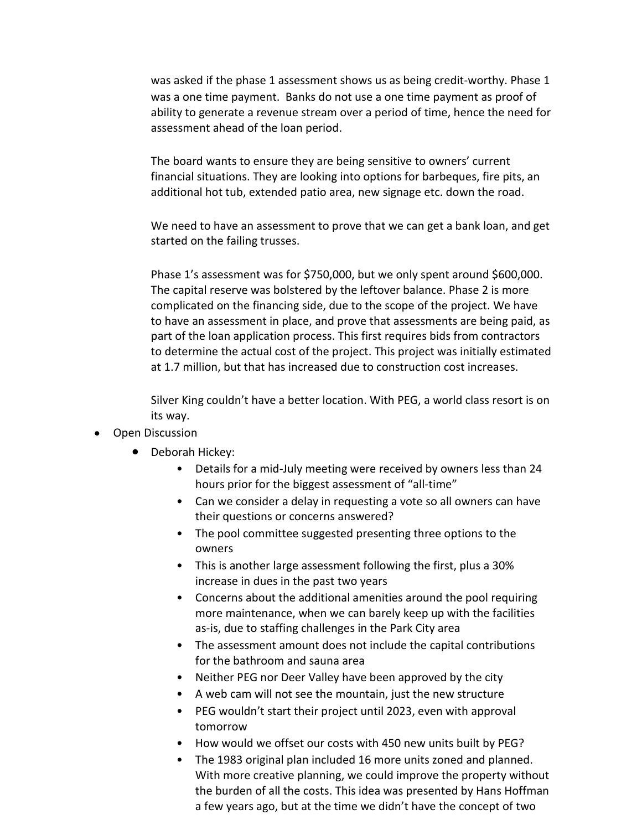was asked if the phase 1 assessment shows us as being credit-worthy. Phase 1 was a one time payment. Banks do not use a one time payment as proof of ability to generate a revenue stream over a period of time, hence the need for assessment ahead of the loan period.

The board wants to ensure they are being sensitive to owners' current financial situations. They are looking into options for barbeques, fire pits, an additional hot tub, extended patio area, new signage etc. down the road.

We need to have an assessment to prove that we can get a bank loan, and get started on the failing trusses.

Phase 1's assessment was for \$750,000, but we only spent around \$600,000. The capital reserve was bolstered by the leftover balance. Phase 2 is more complicated on the financing side, due to the scope of the project. We have to have an assessment in place, and prove that assessments are being paid, as part of the loan application process. This first requires bids from contractors to determine the actual cost of the project. This project was initially estimated at 1.7 million, but that has increased due to construction cost increases.

Silver King couldn't have a better location. With PEG, a world class resort is on its way.

- Open Discussion
	- Deborah Hickey:
		- Details for a mid-July meeting were received by owners less than 24 hours prior for the biggest assessment of "all-time"
		- Can we consider a delay in requesting a vote so all owners can have their questions or concerns answered?
		- The pool committee suggested presenting three options to the owners
		- This is another large assessment following the first, plus a 30% increase in dues in the past two years
		- Concerns about the additional amenities around the pool requiring more maintenance, when we can barely keep up with the facilities as-is, due to staffing challenges in the Park City area
		- The assessment amount does not include the capital contributions for the bathroom and sauna area
		- Neither PEG nor Deer Valley have been approved by the city
		- A web cam will not see the mountain, just the new structure
		- PEG wouldn't start their project until 2023, even with approval tomorrow
		- How would we offset our costs with 450 new units built by PEG?
		- The 1983 original plan included 16 more units zoned and planned. With more creative planning, we could improve the property without the burden of all the costs. This idea was presented by Hans Hoffman a few years ago, but at the time we didn't have the concept of two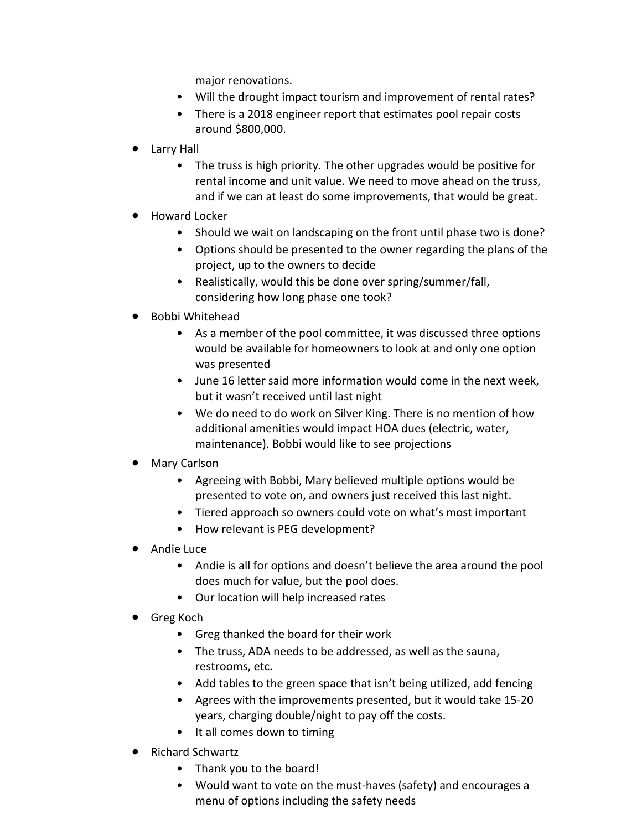major renovations.

- Will the drought impact tourism and improvement of rental rates?
- There is a 2018 engineer report that estimates pool repair costs around \$800,000.
- Larry Hall
	- The truss is high priority. The other upgrades would be positive for rental income and unit value. We need to move ahead on the truss, and if we can at least do some improvements, that would be great.
- Howard Locker
	- Should we wait on landscaping on the front until phase two is done?
	- Options should be presented to the owner regarding the plans of the project, up to the owners to decide
	- Realistically, would this be done over spring/summer/fall, considering how long phase one took?
- Bobbi Whitehead
	- As a member of the pool committee, it was discussed three options would be available for homeowners to look at and only one option was presented
	- June 16 letter said more information would come in the next week, but it wasn't received until last night
	- We do need to do work on Silver King. There is no mention of how additional amenities would impact HOA dues (electric, water, maintenance). Bobbi would like to see projections
- Mary Carlson
	- Agreeing with Bobbi, Mary believed multiple options would be presented to vote on, and owners just received this last night.
	- Tiered approach so owners could vote on what's most important
	- How relevant is PEG development?
- Andie Luce
	- Andie is all for options and doesn't believe the area around the pool does much for value, but the pool does.
	- Our location will help increased rates
- Greg Koch
	- Greg thanked the board for their work
	- The truss, ADA needs to be addressed, as well as the sauna, restrooms, etc.
	- Add tables to the green space that isn't being utilized, add fencing
	- Agrees with the improvements presented, but it would take 15-20 years, charging double/night to pay off the costs.
	- It all comes down to timing
- Richard Schwartz
	- Thank you to the board!
	- Would want to vote on the must-haves (safety) and encourages a menu of options including the safety needs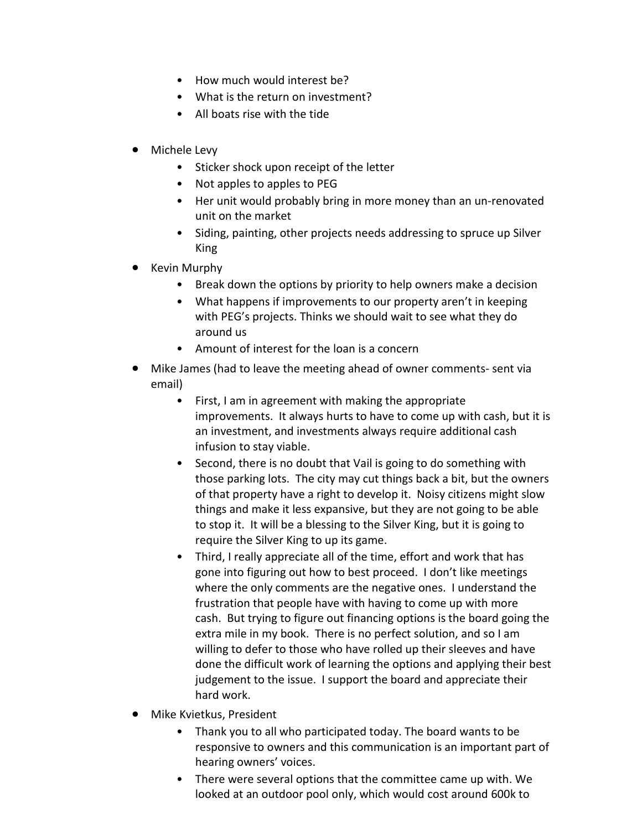- How much would interest be?
- What is the return on investment?
- All boats rise with the tide
- Michele Levy
	- Sticker shock upon receipt of the letter
	- Not apples to apples to PEG
	- Her unit would probably bring in more money than an un-renovated unit on the market
	- Siding, painting, other projects needs addressing to spruce up Silver King
- Kevin Murphy
	- Break down the options by priority to help owners make a decision
	- What happens if improvements to our property aren't in keeping with PEG's projects. Thinks we should wait to see what they do around us
	- Amount of interest for the loan is a concern
- Mike James (had to leave the meeting ahead of owner comments- sent via email)
	- First, I am in agreement with making the appropriate improvements. It always hurts to have to come up with cash, but it is an investment, and investments always require additional cash infusion to stay viable.
	- Second, there is no doubt that Vail is going to do something with those parking lots. The city may cut things back a bit, but the owners of that property have a right to develop it. Noisy citizens might slow things and make it less expansive, but they are not going to be able to stop it. It will be a blessing to the Silver King, but it is going to require the Silver King to up its game.
	- Third, I really appreciate all of the time, effort and work that has gone into figuring out how to best proceed. I don't like meetings where the only comments are the negative ones. I understand the frustration that people have with having to come up with more cash. But trying to figure out financing options is the board going the extra mile in my book. There is no perfect solution, and so I am willing to defer to those who have rolled up their sleeves and have done the difficult work of learning the options and applying their best judgement to the issue. I support the board and appreciate their hard work.
- Mike Kvietkus, President
	- Thank you to all who participated today. The board wants to be responsive to owners and this communication is an important part of hearing owners' voices.
	- There were several options that the committee came up with. We looked at an outdoor pool only, which would cost around 600k to